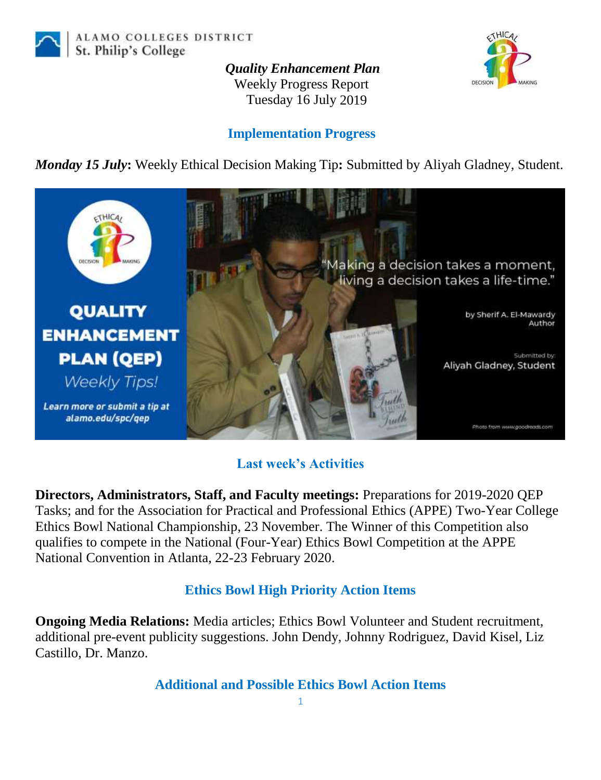

ALAMO COLLEGES DISTRICT St. Philip's College

> *Quality Enhancement Plan* Weekly Progress Report Tuesday 16 July 2019



## **Implementation Progress**

*Monday 15 July***:** Weekly Ethical Decision Making Tip**:** Submitted by Aliyah Gladney, Student.



## **Last week's Activities**

**Directors, Administrators, Staff, and Faculty meetings:** Preparations for 2019-2020 QEP Tasks; and for the Association for Practical and Professional Ethics (APPE) Two-Year College Ethics Bowl National Championship, 23 November. The Winner of this Competition also qualifies to compete in the National (Four-Year) Ethics Bowl Competition at the APPE National Convention in Atlanta, 22-23 February 2020.

## **Ethics Bowl High Priority Action Items**

**Ongoing Media Relations:** Media articles; Ethics Bowl Volunteer and Student recruitment, additional pre-event publicity suggestions. John Dendy, Johnny Rodriguez, David Kisel, Liz Castillo, Dr. Manzo.

**Additional and Possible Ethics Bowl Action Items**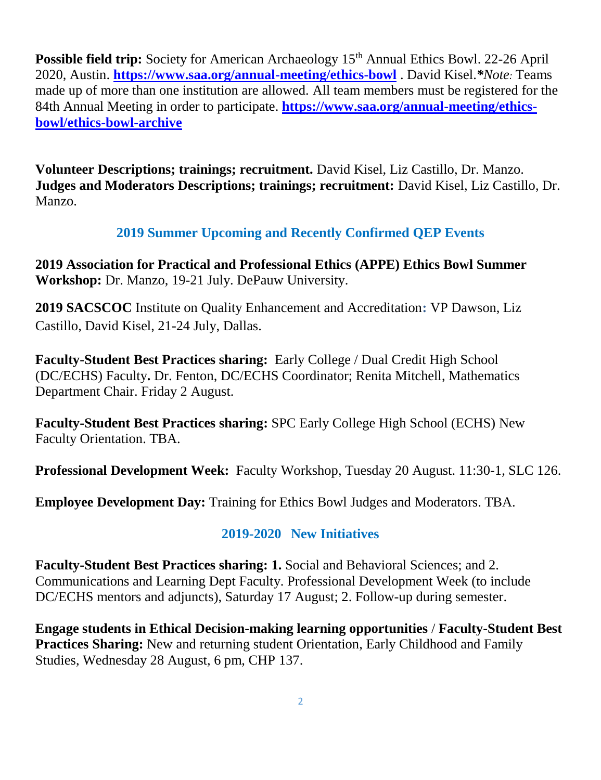**Possible field trip:** Society for American Archaeology 15<sup>th</sup> Annual Ethics Bowl. 22-26 April 2020, Austin. **<https://www.saa.org/annual-meeting/ethics-bowl>** . David Kisel.*\*Note:* Teams made up of more than one institution are allowed. All team members must be registered for the 84th Annual Meeting in order to participate. **[https://www.saa.org/annual-meeting/ethics](https://www.saa.org/annual-meeting/ethics-bowl/ethics-bowl-archive)[bowl/ethics-bowl-archive](https://www.saa.org/annual-meeting/ethics-bowl/ethics-bowl-archive)**

**Volunteer Descriptions; trainings; recruitment.** David Kisel, Liz Castillo, Dr. Manzo. **Judges and Moderators Descriptions; trainings; recruitment:** David Kisel, Liz Castillo, Dr. Manzo.

# **2019 Summer Upcoming and Recently Confirmed QEP Events**

**2019 Association for Practical and Professional Ethics (APPE) Ethics Bowl Summer Workshop:** Dr. Manzo, 19-21 July. DePauw University.

**2019 SACSCOC** Institute on Quality Enhancement and Accreditation**:** VP Dawson, Liz Castillo, David Kisel, 21-24 July, Dallas.

**Faculty-Student Best Practices sharing:** Early College / Dual Credit High School (DC/ECHS) Faculty**.** Dr. Fenton, DC/ECHS Coordinator; Renita Mitchell, Mathematics Department Chair. Friday 2 August.

**Faculty-Student Best Practices sharing:** SPC Early College High School (ECHS) New Faculty Orientation. TBA.

**Professional Development Week:** Faculty Workshop, Tuesday 20 August. 11:30-1, SLC 126.

**Employee Development Day:** Training for Ethics Bowl Judges and Moderators. TBA.

# **2019-2020 New Initiatives**

**Faculty-Student Best Practices sharing: 1.** Social and Behavioral Sciences; and 2. Communications and Learning Dept Faculty. Professional Development Week (to include DC/ECHS mentors and adjuncts), Saturday 17 August; 2. Follow-up during semester.

**Engage students in Ethical Decision-making learning opportunities** / **Faculty-Student Best Practices Sharing:** New and returning student Orientation, Early Childhood and Family Studies, Wednesday 28 August, 6 pm, CHP 137.